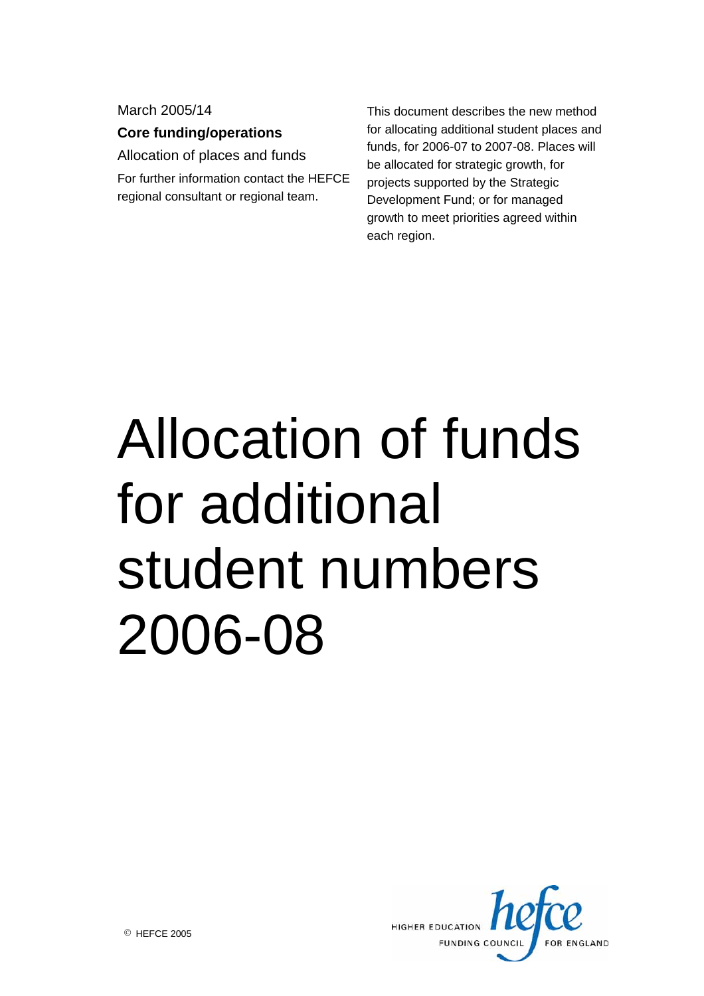March 2005/14

**Core funding/operations** 

Allocation of places and funds For further information contact the HEFCE

regional consultant or regional team.

This document describes the new method for allocating additional student places and funds, for 2006-07 to 2007-08. Places will be allocated for strategic growth, for projects supported by the Strategic Development Fund; or for managed growth to meet priorities agreed within each region.

# Allocation of funds for additional student numbers 2006-08

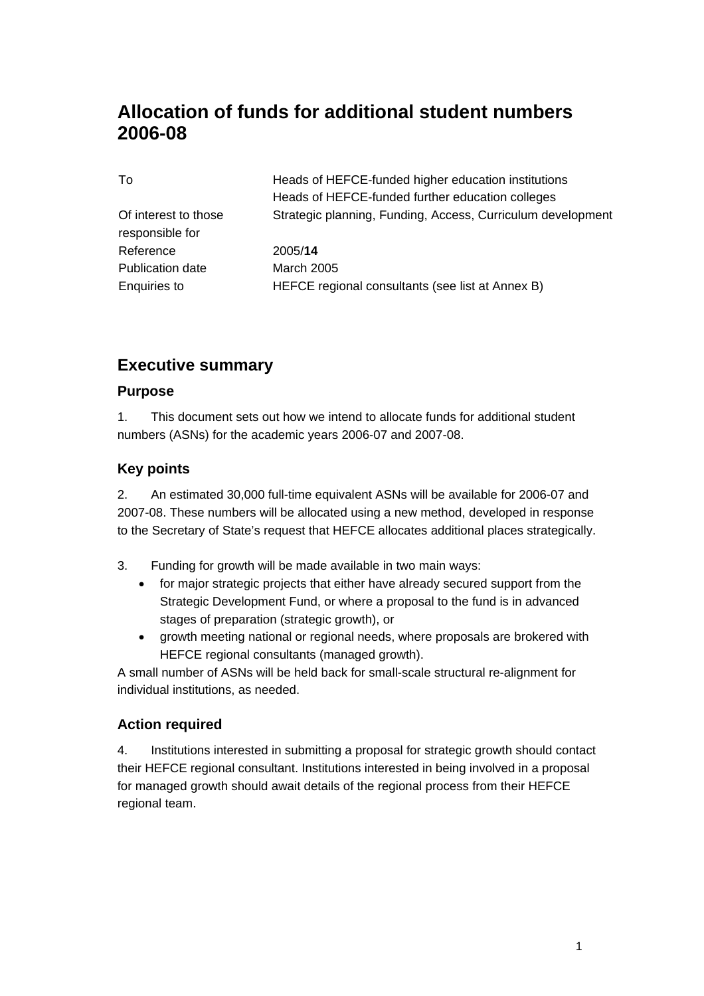# **Allocation of funds for additional student numbers 2006-08**

| To                      | Heads of HEFCE-funded higher education institutions         |  |
|-------------------------|-------------------------------------------------------------|--|
|                         | Heads of HEFCE-funded further education colleges            |  |
| Of interest to those    | Strategic planning, Funding, Access, Curriculum development |  |
| responsible for         |                                                             |  |
| Reference               | 2005/14                                                     |  |
| <b>Publication date</b> | <b>March 2005</b>                                           |  |
| <b>Enquiries to</b>     | HEFCE regional consultants (see list at Annex B)            |  |

## **Executive summary**

#### **Purpose**

1. This document sets out how we intend to allocate funds for additional student numbers (ASNs) for the academic years 2006-07 and 2007-08.

#### **Key points**

2. An estimated 30,000 full-time equivalent ASNs will be available for 2006-07 and 2007-08. These numbers will be allocated using a new method, developed in response to the Secretary of State's request that HEFCE allocates additional places strategically.

- 3. Funding for growth will be made available in two main ways:
	- for major strategic projects that either have already secured support from the Strategic Development Fund, or where a proposal to the fund is in advanced stages of preparation (strategic growth), or
	- growth meeting national or regional needs, where proposals are brokered with HEFCE regional consultants (managed growth).

A small number of ASNs will be held back for small-scale structural re-alignment for individual institutions, as needed.

#### **Action required**

4. Institutions interested in submitting a proposal for strategic growth should contact their HEFCE regional consultant. Institutions interested in being involved in a proposal for managed growth should await details of the regional process from their HEFCE regional team.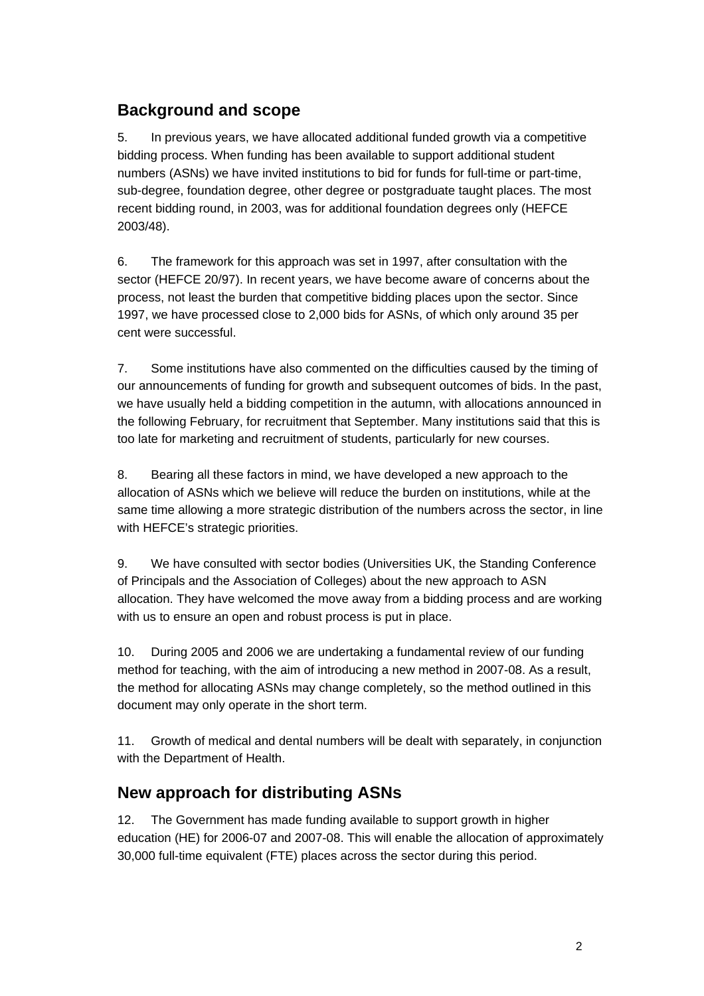## **Background and scope**

5. In previous years, we have allocated additional funded growth via a competitive bidding process. When funding has been available to support additional student numbers (ASNs) we have invited institutions to bid for funds for full-time or part-time, sub-degree, foundation degree, other degree or postgraduate taught places. The most recent bidding round, in 2003, was for additional foundation degrees only (HEFCE 2003/48).

6. The framework for this approach was set in 1997, after consultation with the sector (HEFCE 20/97). In recent years, we have become aware of concerns about the process, not least the burden that competitive bidding places upon the sector. Since 1997, we have processed close to 2,000 bids for ASNs, of which only around 35 per cent were successful.

7. Some institutions have also commented on the difficulties caused by the timing of our announcements of funding for growth and subsequent outcomes of bids. In the past, we have usually held a bidding competition in the autumn, with allocations announced in the following February, for recruitment that September. Many institutions said that this is too late for marketing and recruitment of students, particularly for new courses.

8. Bearing all these factors in mind, we have developed a new approach to the allocation of ASNs which we believe will reduce the burden on institutions, while at the same time allowing a more strategic distribution of the numbers across the sector, in line with HEFCE's strategic priorities.

9. We have consulted with sector bodies (Universities UK, the Standing Conference of Principals and the Association of Colleges) about the new approach to ASN allocation. They have welcomed the move away from a bidding process and are working with us to ensure an open and robust process is put in place.

10. During 2005 and 2006 we are undertaking a fundamental review of our funding method for teaching, with the aim of introducing a new method in 2007-08. As a result, the method for allocating ASNs may change completely, so the method outlined in this document may only operate in the short term.

11. Growth of medical and dental numbers will be dealt with separately, in conjunction with the Department of Health.

## **New approach for distributing ASNs**

12. The Government has made funding available to support growth in higher education (HE) for 2006-07 and 2007-08. This will enable the allocation of approximately 30,000 full-time equivalent (FTE) places across the sector during this period.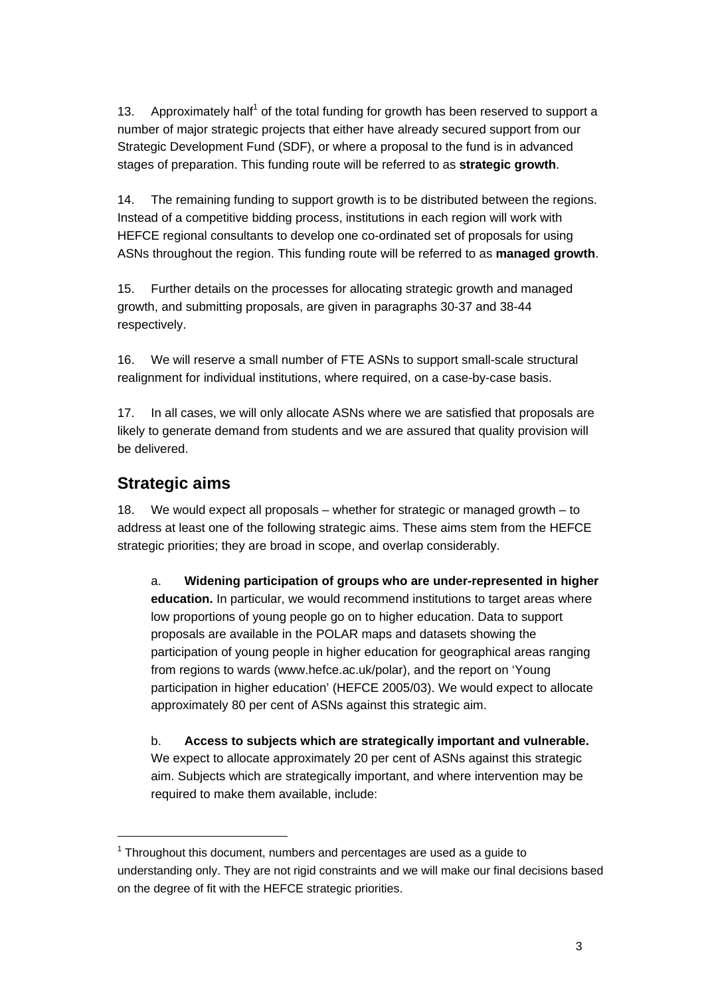13. Approximately half<sup>1</sup> of the total funding for growth has been reserved to support a number of major strategic projects that either have already secured support from our Strategic Development Fund (SDF), or where a proposal to the fund is in advanced stages of preparation. This funding route will be referred to as **strategic growth**.

14. The remaining funding to support growth is to be distributed between the regions. Instead of a competitive bidding process, institutions in each region will work with HEFCE regional consultants to develop one co-ordinated set of proposals for using ASNs throughout the region. This funding route will be referred to as **managed growth**.

15. Further details on the processes for allocating strategic growth and managed growth, and submitting proposals, are given in paragraphs 30-37 and 38-44 respectively.

16. We will reserve a small number of FTE ASNs to support small-scale structural realignment for individual institutions, where required, on a case-by-case basis.

17. In all cases, we will only allocate ASNs where we are satisfied that proposals are likely to generate demand from students and we are assured that quality provision will be delivered.

## **Strategic aims**

18. We would expect all proposals – whether for strategic or managed growth – to address at least one of the following strategic aims. These aims stem from the HEFCE strategic priorities; they are broad in scope, and overlap considerably.

a. **Widening participation of groups who are under-represented in higher education.** In particular, we would recommend institutions to target areas where low proportions of young people go on to higher education. Data to support proposals are available in the POLAR maps and datasets showing the participation of young people in higher education for geographical areas ranging from regions to wards (www.hefce.ac.uk/polar), and the report on 'Young participation in higher education' (HEFCE 2005/03). We would expect to allocate approximately 80 per cent of ASNs against this strategic aim.

b. **Access to subjects which are strategically important and vulnerable.** We expect to allocate approximately 20 per cent of ASNs against this strategic aim. Subjects which are strategically important, and where intervention may be required to make them available, include:

 $\overline{1}$  $1$  Throughout this document, numbers and percentages are used as a guide to understanding only. They are not rigid constraints and we will make our final decisions based on the degree of fit with the HEFCE strategic priorities.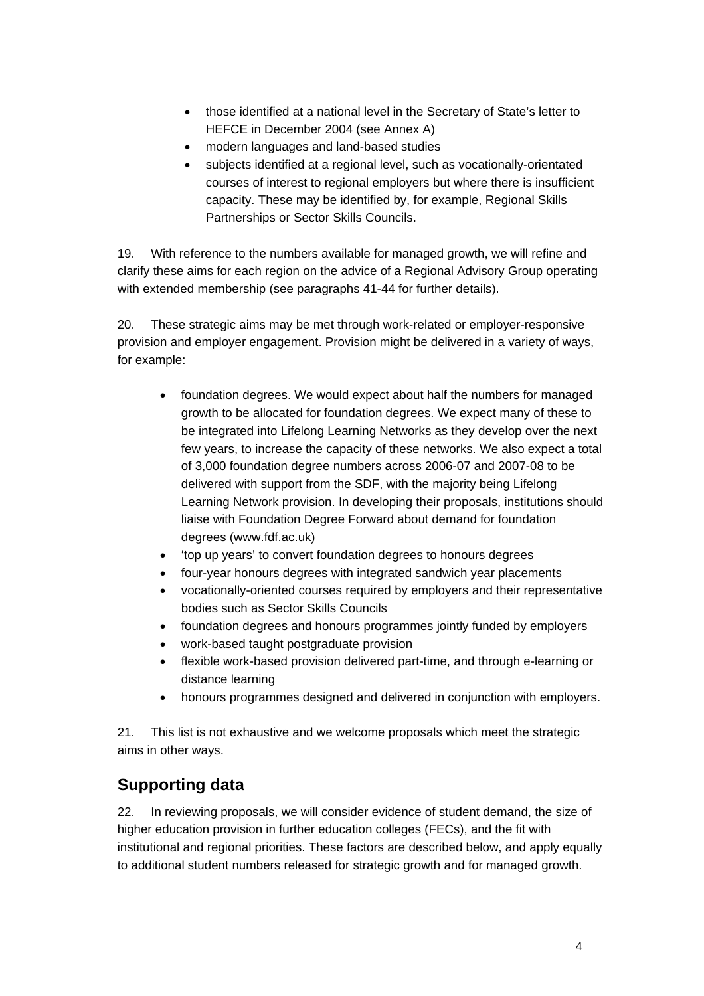- those identified at a national level in the Secretary of State's letter to HEFCE in December 2004 (see Annex A)
- modern languages and land-based studies
- subjects identified at a regional level, such as vocationally-orientated courses of interest to regional employers but where there is insufficient capacity. These may be identified by, for example, Regional Skills Partnerships or Sector Skills Councils.

19. With reference to the numbers available for managed growth, we will refine and clarify these aims for each region on the advice of a Regional Advisory Group operating with extended membership (see paragraphs 41-44 for further details).

20. These strategic aims may be met through work-related or employer-responsive provision and employer engagement. Provision might be delivered in a variety of ways, for example:

- foundation degrees. We would expect about half the numbers for managed growth to be allocated for foundation degrees. We expect many of these to be integrated into Lifelong Learning Networks as they develop over the next few years, to increase the capacity of these networks. We also expect a total of 3,000 foundation degree numbers across 2006-07 and 2007-08 to be delivered with support from the SDF, with the majority being Lifelong Learning Network provision. In developing their proposals, institutions should liaise with Foundation Degree Forward about demand for foundation degrees (www.fdf.ac.uk)
- 'top up years' to convert foundation degrees to honours degrees
- four-year honours degrees with integrated sandwich year placements
- vocationally-oriented courses required by employers and their representative bodies such as Sector Skills Councils
- foundation degrees and honours programmes jointly funded by employers
- work-based taught postgraduate provision
- flexible work-based provision delivered part-time, and through e-learning or distance learning
- honours programmes designed and delivered in conjunction with employers.

21. This list is not exhaustive and we welcome proposals which meet the strategic aims in other ways.

## **Supporting data**

22. In reviewing proposals, we will consider evidence of student demand, the size of higher education provision in further education colleges (FECs), and the fit with institutional and regional priorities. These factors are described below, and apply equally to additional student numbers released for strategic growth and for managed growth.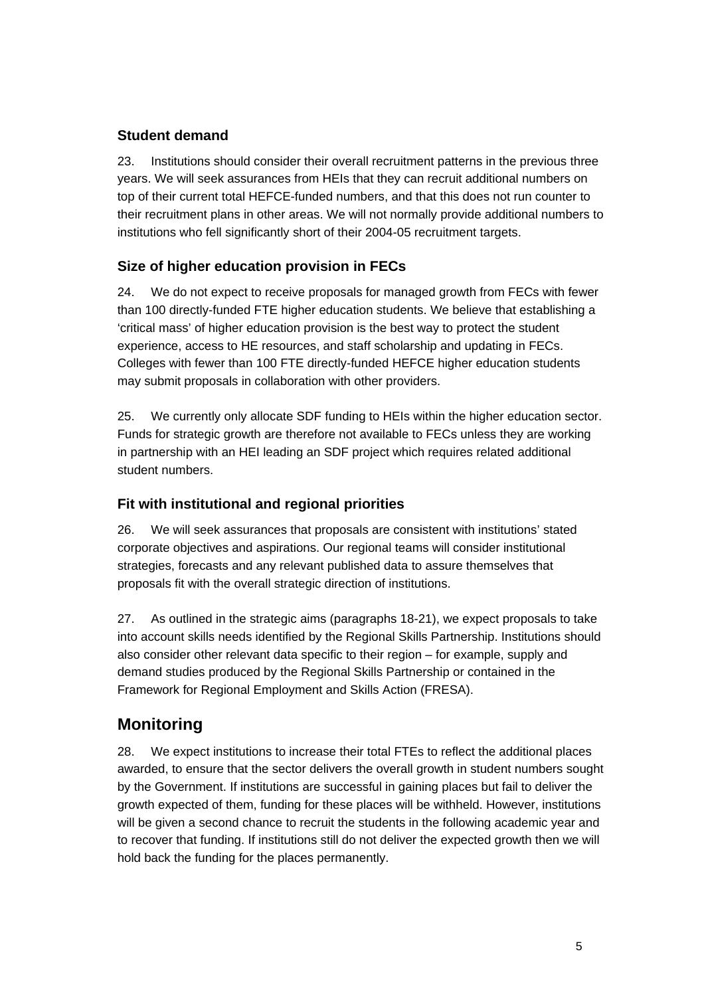#### **Student demand**

23. Institutions should consider their overall recruitment patterns in the previous three years. We will seek assurances from HEIs that they can recruit additional numbers on top of their current total HEFCE-funded numbers, and that this does not run counter to their recruitment plans in other areas. We will not normally provide additional numbers to institutions who fell significantly short of their 2004-05 recruitment targets.

## **Size of higher education provision in FECs**

24. We do not expect to receive proposals for managed growth from FECs with fewer than 100 directly-funded FTE higher education students. We believe that establishing a 'critical mass' of higher education provision is the best way to protect the student experience, access to HE resources, and staff scholarship and updating in FECs. Colleges with fewer than 100 FTE directly-funded HEFCE higher education students may submit proposals in collaboration with other providers.

25. We currently only allocate SDF funding to HEIs within the higher education sector. Funds for strategic growth are therefore not available to FECs unless they are working in partnership with an HEI leading an SDF project which requires related additional student numbers.

## **Fit with institutional and regional priorities**

26. We will seek assurances that proposals are consistent with institutions' stated corporate objectives and aspirations. Our regional teams will consider institutional strategies, forecasts and any relevant published data to assure themselves that proposals fit with the overall strategic direction of institutions.

27. As outlined in the strategic aims (paragraphs 18-21), we expect proposals to take into account skills needs identified by the Regional Skills Partnership. Institutions should also consider other relevant data specific to their region – for example, supply and demand studies produced by the Regional Skills Partnership or contained in the Framework for Regional Employment and Skills Action (FRESA).

## **Monitoring**

28. We expect institutions to increase their total FTEs to reflect the additional places awarded, to ensure that the sector delivers the overall growth in student numbers sought by the Government. If institutions are successful in gaining places but fail to deliver the growth expected of them, funding for these places will be withheld. However, institutions will be given a second chance to recruit the students in the following academic year and to recover that funding. If institutions still do not deliver the expected growth then we will hold back the funding for the places permanently.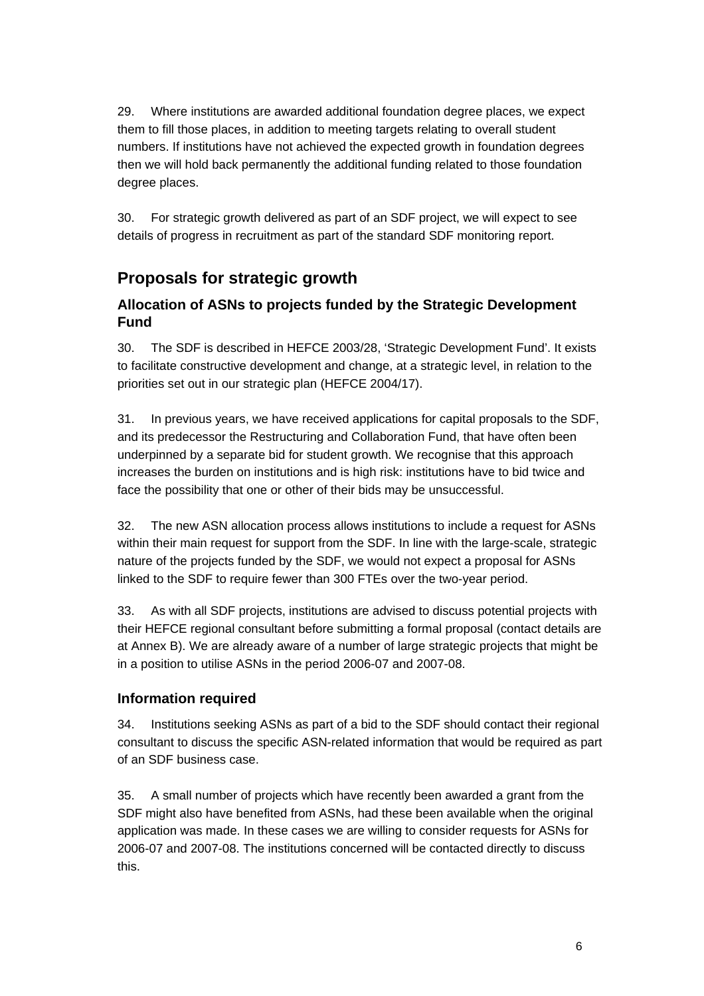29. Where institutions are awarded additional foundation degree places, we expect them to fill those places, in addition to meeting targets relating to overall student numbers. If institutions have not achieved the expected growth in foundation degrees then we will hold back permanently the additional funding related to those foundation degree places.

30. For strategic growth delivered as part of an SDF project, we will expect to see details of progress in recruitment as part of the standard SDF monitoring report.

## **Proposals for strategic growth**

## **Allocation of ASNs to projects funded by the Strategic Development Fund**

30. The SDF is described in HEFCE 2003/28, 'Strategic Development Fund'. It exists to facilitate constructive development and change, at a strategic level, in relation to the priorities set out in our strategic plan (HEFCE 2004/17).

31. In previous years, we have received applications for capital proposals to the SDF, and its predecessor the Restructuring and Collaboration Fund, that have often been underpinned by a separate bid for student growth. We recognise that this approach increases the burden on institutions and is high risk: institutions have to bid twice and face the possibility that one or other of their bids may be unsuccessful.

32. The new ASN allocation process allows institutions to include a request for ASNs within their main request for support from the SDF. In line with the large-scale, strategic nature of the projects funded by the SDF, we would not expect a proposal for ASNs linked to the SDF to require fewer than 300 FTEs over the two-year period.

33. As with all SDF projects, institutions are advised to discuss potential projects with their HEFCE regional consultant before submitting a formal proposal (contact details are at Annex B). We are already aware of a number of large strategic projects that might be in a position to utilise ASNs in the period 2006-07 and 2007-08.

## **Information required**

34. Institutions seeking ASNs as part of a bid to the SDF should contact their regional consultant to discuss the specific ASN-related information that would be required as part of an SDF business case.

35. A small number of projects which have recently been awarded a grant from the SDF might also have benefited from ASNs, had these been available when the original application was made. In these cases we are willing to consider requests for ASNs for 2006-07 and 2007-08. The institutions concerned will be contacted directly to discuss this.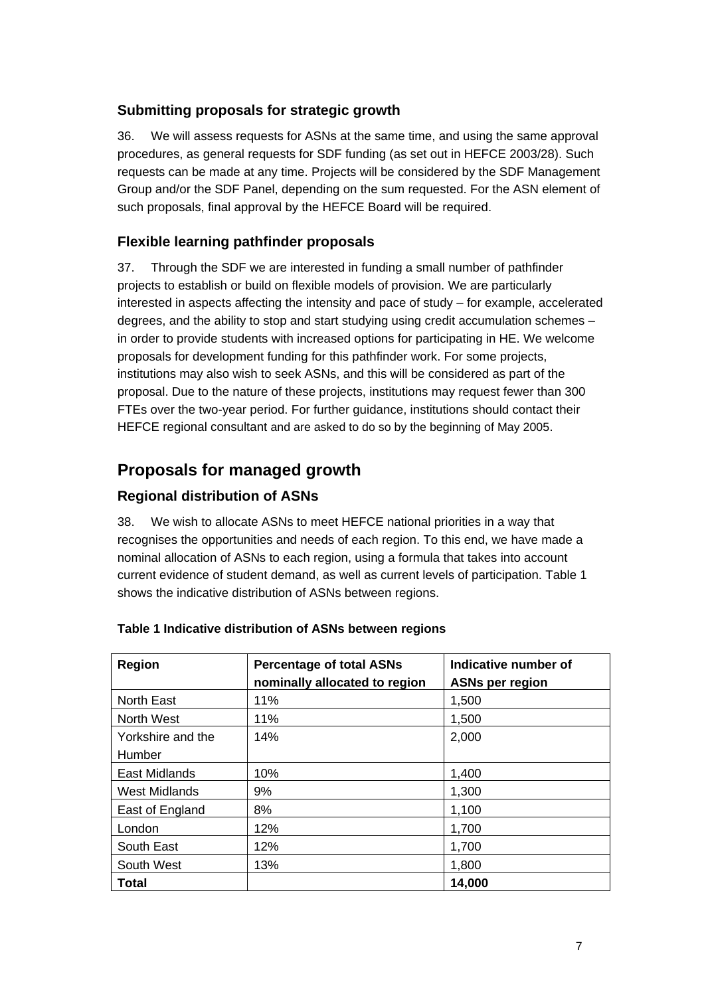#### **Submitting proposals for strategic growth**

36. We will assess requests for ASNs at the same time, and using the same approval procedures, as general requests for SDF funding (as set out in HEFCE 2003/28). Such requests can be made at any time. Projects will be considered by the SDF Management Group and/or the SDF Panel, depending on the sum requested. For the ASN element of such proposals, final approval by the HEFCE Board will be required.

## **Flexible learning pathfinder proposals**

37. Through the SDF we are interested in funding a small number of pathfinder projects to establish or build on flexible models of provision. We are particularly interested in aspects affecting the intensity and pace of study – for example, accelerated degrees, and the ability to stop and start studying using credit accumulation schemes – in order to provide students with increased options for participating in HE. We welcome proposals for development funding for this pathfinder work. For some projects, institutions may also wish to seek ASNs, and this will be considered as part of the proposal. Due to the nature of these projects, institutions may request fewer than 300 FTEs over the two-year period. For further guidance, institutions should contact their HEFCE regional consultant and are asked to do so by the beginning of May 2005.

## **Proposals for managed growth**

## **Regional distribution of ASNs**

38. We wish to allocate ASNs to meet HEFCE national priorities in a way that recognises the opportunities and needs of each region. To this end, we have made a nominal allocation of ASNs to each region, using a formula that takes into account current evidence of student demand, as well as current levels of participation. Table 1 shows the indicative distribution of ASNs between regions.

| <b>Region</b>        | <b>Percentage of total ASNs</b><br>nominally allocated to region | Indicative number of<br><b>ASNs per region</b> |
|----------------------|------------------------------------------------------------------|------------------------------------------------|
| <b>North East</b>    | 11%                                                              | 1,500                                          |
| North West           | 11%                                                              | 1,500                                          |
| Yorkshire and the    | 14%                                                              | 2,000                                          |
| Humber               |                                                                  |                                                |
| East Midlands        | 10%                                                              | 1,400                                          |
| <b>West Midlands</b> | 9%                                                               | 1,300                                          |
| East of England      | 8%                                                               | 1,100                                          |
| London               | 12%                                                              | 1,700                                          |
| South East           | 12%                                                              | 1,700                                          |
| South West           | 13%                                                              | 1,800                                          |
| <b>Total</b>         |                                                                  | 14,000                                         |

#### **Table 1 Indicative distribution of ASNs between regions**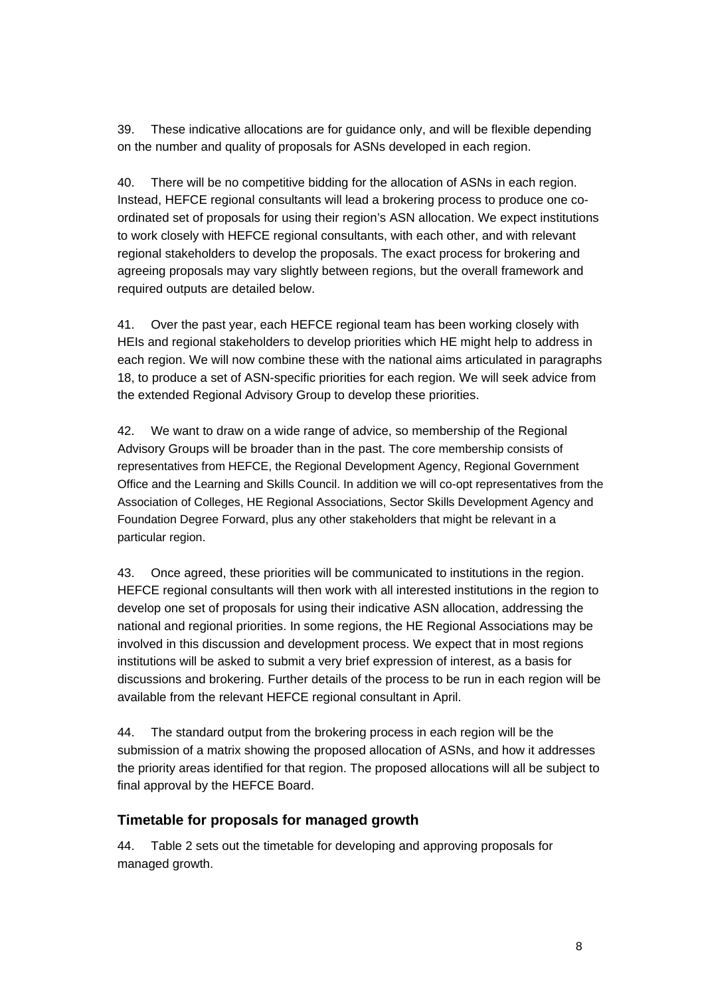39. These indicative allocations are for guidance only, and will be flexible depending on the number and quality of proposals for ASNs developed in each region.

40. There will be no competitive bidding for the allocation of ASNs in each region. Instead, HEFCE regional consultants will lead a brokering process to produce one coordinated set of proposals for using their region's ASN allocation. We expect institutions to work closely with HEFCE regional consultants, with each other, and with relevant regional stakeholders to develop the proposals. The exact process for brokering and agreeing proposals may vary slightly between regions, but the overall framework and required outputs are detailed below.

41. Over the past year, each HEFCE regional team has been working closely with HEIs and regional stakeholders to develop priorities which HE might help to address in each region. We will now combine these with the national aims articulated in paragraphs 18, to produce a set of ASN-specific priorities for each region. We will seek advice from the extended Regional Advisory Group to develop these priorities.

42. We want to draw on a wide range of advice, so membership of the Regional Advisory Groups will be broader than in the past. The core membership consists of representatives from HEFCE, the Regional Development Agency, Regional Government Office and the Learning and Skills Council. In addition we will co-opt representatives from the Association of Colleges, HE Regional Associations, Sector Skills Development Agency and Foundation Degree Forward, plus any other stakeholders that might be relevant in a particular region.

43. Once agreed, these priorities will be communicated to institutions in the region. HEFCE regional consultants will then work with all interested institutions in the region to develop one set of proposals for using their indicative ASN allocation, addressing the national and regional priorities. In some regions, the HE Regional Associations may be involved in this discussion and development process. We expect that in most regions institutions will be asked to submit a very brief expression of interest, as a basis for discussions and brokering. Further details of the process to be run in each region will be available from the relevant HEFCE regional consultant in April.

44. The standard output from the brokering process in each region will be the submission of a matrix showing the proposed allocation of ASNs, and how it addresses the priority areas identified for that region. The proposed allocations will all be subject to final approval by the HEFCE Board.

#### **Timetable for proposals for managed growth**

44. Table 2 sets out the timetable for developing and approving proposals for managed growth.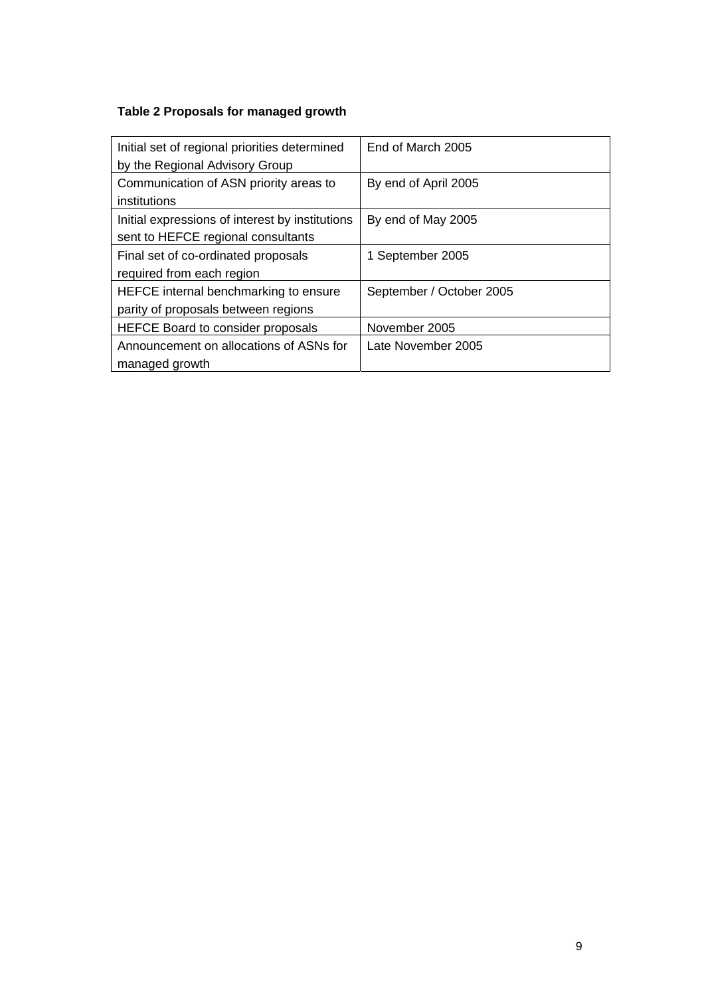## **Table 2 Proposals for managed growth**

| Initial set of regional priorities determined<br>by the Regional Advisory Group       | End of March 2005        |
|---------------------------------------------------------------------------------------|--------------------------|
| Communication of ASN priority areas to<br>institutions                                | By end of April 2005     |
| Initial expressions of interest by institutions<br>sent to HEFCE regional consultants | By end of May 2005       |
| Final set of co-ordinated proposals<br>required from each region                      | 1 September 2005         |
| HEFCE internal benchmarking to ensure<br>parity of proposals between regions          | September / October 2005 |
| <b>HEFCE Board to consider proposals</b>                                              | November 2005            |
| Announcement on allocations of ASNs for<br>managed growth                             | Late November 2005       |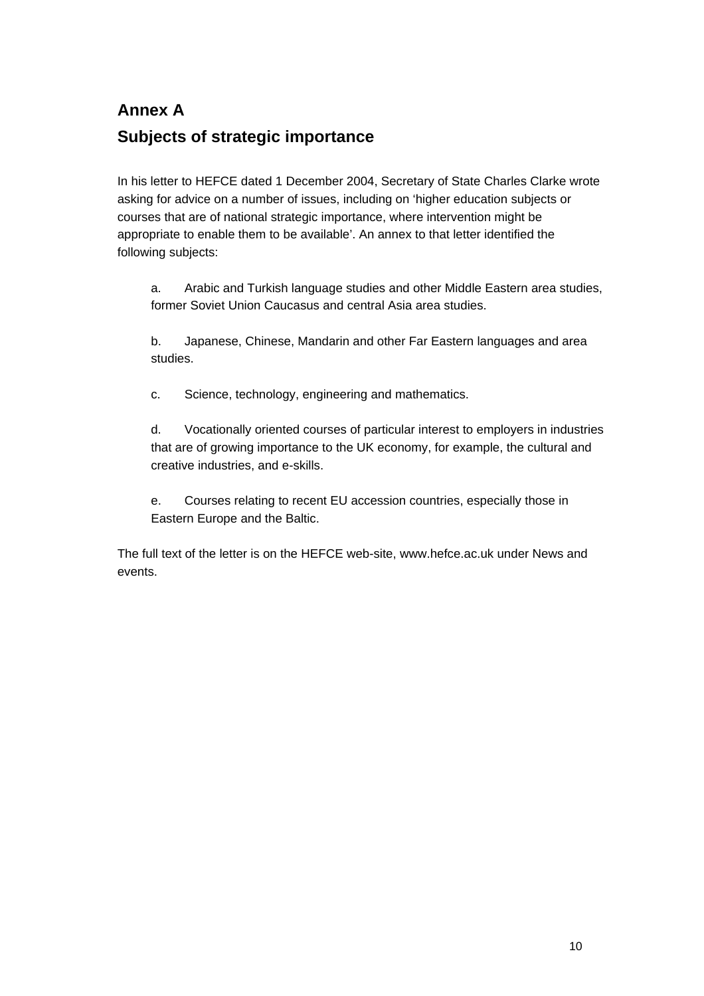# **Annex A Subjects of strategic importance**

In his letter to HEFCE dated 1 December 2004, Secretary of State Charles Clarke wrote asking for advice on a number of issues, including on 'higher education subjects or courses that are of national strategic importance, where intervention might be appropriate to enable them to be available'. An annex to that letter identified the following subjects:

a. Arabic and Turkish language studies and other Middle Eastern area studies, former Soviet Union Caucasus and central Asia area studies.

b. Japanese, Chinese, Mandarin and other Far Eastern languages and area studies.

c. Science, technology, engineering and mathematics.

d. Vocationally oriented courses of particular interest to employers in industries that are of growing importance to the UK economy, for example, the cultural and creative industries, and e-skills.

e. Courses relating to recent EU accession countries, especially those in Eastern Europe and the Baltic.

The full text of the letter is on the HEFCE web-site, www.hefce.ac.uk under News and events.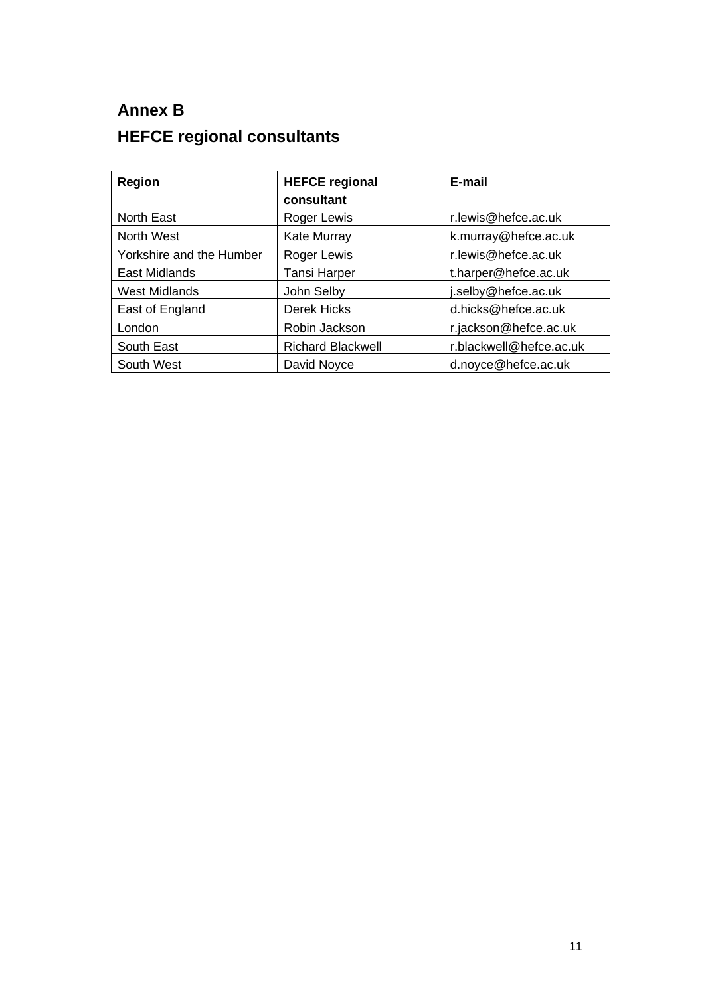# **Annex B HEFCE regional consultants**

| <b>Region</b>            | <b>HEFCE regional</b>    | E-mail                  |
|--------------------------|--------------------------|-------------------------|
|                          | consultant               |                         |
| <b>North East</b>        | Roger Lewis              | r.lewis@hefce.ac.uk     |
| North West               | <b>Kate Murray</b>       | k.murray@hefce.ac.uk    |
| Yorkshire and the Humber | Roger Lewis              | r.lewis@hefce.ac.uk     |
| East Midlands            | <b>Tansi Harper</b>      | t.harper@hefce.ac.uk    |
| <b>West Midlands</b>     | John Selby               | i.selby@hefce.ac.uk     |
| East of England          | Derek Hicks              | d.hicks@hefce.ac.uk     |
| London                   | Robin Jackson            | r.jackson@hefce.ac.uk   |
| South East               | <b>Richard Blackwell</b> | r.blackwell@hefce.ac.uk |
| South West               | David Noyce              | d.noyce@hefce.ac.uk     |